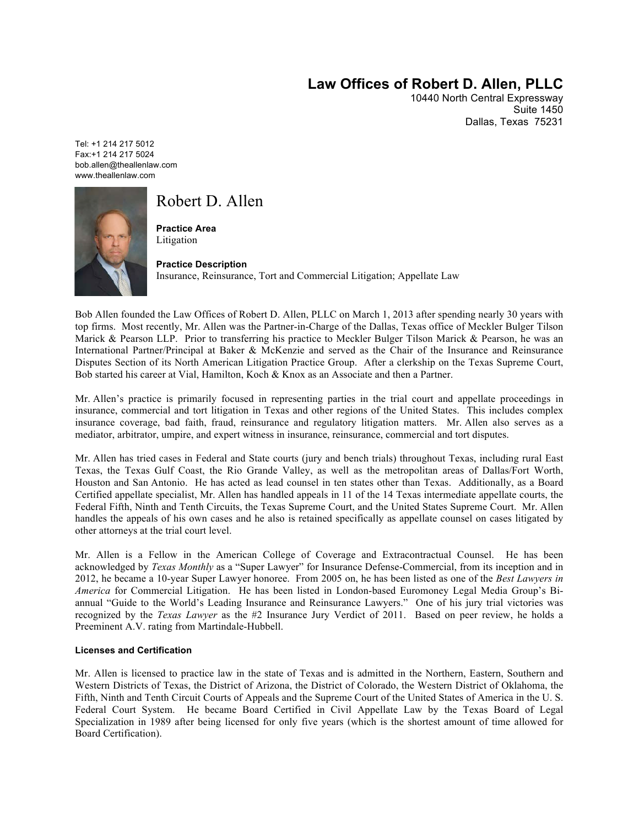# **Law Offices of Robert D. Allen, PLLC**

10440 North Central Expressway Suite 1450 Dallas, Texas 75231

Tel: +1 214 217 5012 Fax:+1 214 217 5024 bob.allen@theallenlaw.com www.theallenlaw.com



# Robert D. Allen

**Practice Area** Litigation

**Practice Description** Insurance, Reinsurance, Tort and Commercial Litigation; Appellate Law

Bob Allen founded the Law Offices of Robert D. Allen, PLLC on March 1, 2013 after spending nearly 30 years with top firms. Most recently, Mr. Allen was the Partner-in-Charge of the Dallas, Texas office of Meckler Bulger Tilson Marick & Pearson LLP. Prior to transferring his practice to Meckler Bulger Tilson Marick & Pearson, he was an International Partner/Principal at Baker & McKenzie and served as the Chair of the Insurance and Reinsurance Disputes Section of its North American Litigation Practice Group. After a clerkship on the Texas Supreme Court, Bob started his career at Vial, Hamilton, Koch & Knox as an Associate and then a Partner.

Mr. Allen's practice is primarily focused in representing parties in the trial court and appellate proceedings in insurance, commercial and tort litigation in Texas and other regions of the United States. This includes complex insurance coverage, bad faith, fraud, reinsurance and regulatory litigation matters. Mr. Allen also serves as a mediator, arbitrator, umpire, and expert witness in insurance, reinsurance, commercial and tort disputes.

Mr. Allen has tried cases in Federal and State courts (jury and bench trials) throughout Texas, including rural East Texas, the Texas Gulf Coast, the Rio Grande Valley, as well as the metropolitan areas of Dallas/Fort Worth, Houston and San Antonio. He has acted as lead counsel in ten states other than Texas. Additionally, as a Board Certified appellate specialist, Mr. Allen has handled appeals in 11 of the 14 Texas intermediate appellate courts, the Federal Fifth, Ninth and Tenth Circuits, the Texas Supreme Court, and the United States Supreme Court. Mr. Allen handles the appeals of his own cases and he also is retained specifically as appellate counsel on cases litigated by other attorneys at the trial court level.

Mr. Allen is a Fellow in the American College of Coverage and Extracontractual Counsel. He has been acknowledged by *Texas Monthly* as a "Super Lawyer" for Insurance Defense-Commercial, from its inception and in 2012, he became a 10-year Super Lawyer honoree. From 2005 on, he has been listed as one of the *Best Lawyers in America* for Commercial Litigation. He has been listed in London-based Euromoney Legal Media Group's Biannual "Guide to the World's Leading Insurance and Reinsurance Lawyers." One of his jury trial victories was recognized by the *Texas Lawyer* as the #2 Insurance Jury Verdict of 2011. Based on peer review, he holds a Preeminent A.V. rating from Martindale-Hubbell.

#### **Licenses and Certification**

Mr. Allen is licensed to practice law in the state of Texas and is admitted in the Northern, Eastern, Southern and Western Districts of Texas, the District of Arizona, the District of Colorado, the Western District of Oklahoma, the Fifth, Ninth and Tenth Circuit Courts of Appeals and the Supreme Court of the United States of America in the U. S. Federal Court System. He became Board Certified in Civil Appellate Law by the Texas Board of Legal Specialization in 1989 after being licensed for only five years (which is the shortest amount of time allowed for Board Certification).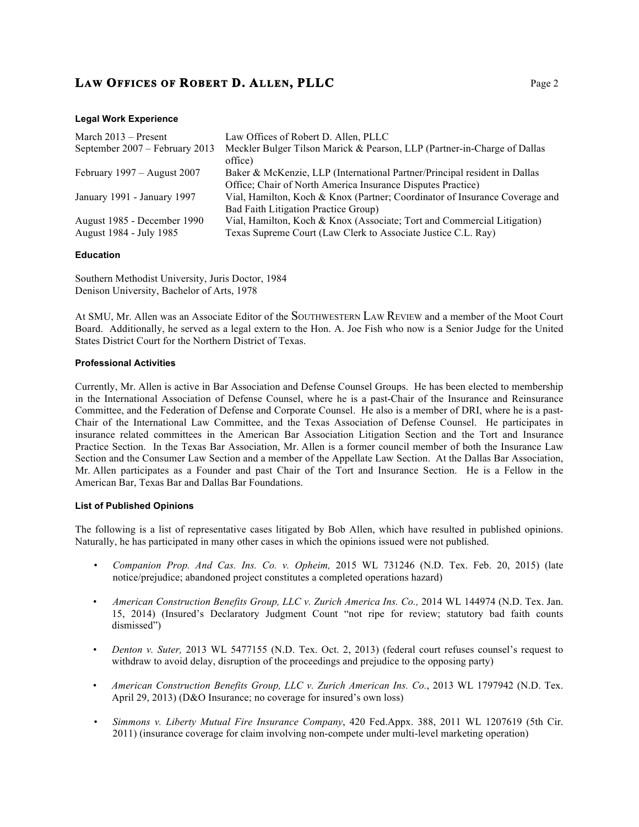#### **Legal Work Experience**

| March $2013$ – Present                                 | Law Offices of Robert D. Allen, PLLC                                                                                                     |
|--------------------------------------------------------|------------------------------------------------------------------------------------------------------------------------------------------|
| September 2007 – February 2013                         | Meckler Bulger Tilson Marick & Pearson, LLP (Partner-in-Charge of Dallas<br>office)                                                      |
| February $1997 -$ August 2007                          | Baker & McKenzie, LLP (International Partner/Principal resident in Dallas<br>Office; Chair of North America Insurance Disputes Practice) |
| January 1991 - January 1997                            | Vial, Hamilton, Koch & Knox (Partner; Coordinator of Insurance Coverage and<br>Bad Faith Litigation Practice Group)                      |
| August 1985 - December 1990<br>August 1984 - July 1985 | Vial, Hamilton, Koch & Knox (Associate; Tort and Commercial Litigation)<br>Texas Supreme Court (Law Clerk to Associate Justice C.L. Ray) |

#### **Education**

Southern Methodist University, Juris Doctor, 1984 Denison University, Bachelor of Arts, 1978

At SMU, Mr. Allen was an Associate Editor of the SOUTHWESTERN LAW REVIEW and a member of the Moot Court Board. Additionally, he served as a legal extern to the Hon. A. Joe Fish who now is a Senior Judge for the United States District Court for the Northern District of Texas.

#### **Professional Activities**

Currently, Mr. Allen is active in Bar Association and Defense Counsel Groups. He has been elected to membership in the International Association of Defense Counsel, where he is a past-Chair of the Insurance and Reinsurance Committee, and the Federation of Defense and Corporate Counsel. He also is a member of DRI, where he is a past-Chair of the International Law Committee, and the Texas Association of Defense Counsel. He participates in insurance related committees in the American Bar Association Litigation Section and the Tort and Insurance Practice Section. In the Texas Bar Association, Mr. Allen is a former council member of both the Insurance Law Section and the Consumer Law Section and a member of the Appellate Law Section. At the Dallas Bar Association, Mr. Allen participates as a Founder and past Chair of the Tort and Insurance Section. He is a Fellow in the American Bar, Texas Bar and Dallas Bar Foundations.

#### **List of Published Opinions**

The following is a list of representative cases litigated by Bob Allen, which have resulted in published opinions. Naturally, he has participated in many other cases in which the opinions issued were not published.

- *Companion Prop. And Cas. Ins. Co. v. Opheim,* 2015 WL 731246 (N.D. Tex. Feb. 20, 2015) (late notice/prejudice; abandoned project constitutes a completed operations hazard)
- *American Construction Benefits Group, LLC v. Zurich America Ins. Co.,* 2014 WL 144974 (N.D. Tex. Jan. 15, 2014) (Insured's Declaratory Judgment Count "not ripe for review; statutory bad faith counts dismissed")
- *Denton v. Suter,* 2013 WL 5477155 (N.D. Tex. Oct. 2, 2013) (federal court refuses counsel's request to withdraw to avoid delay, disruption of the proceedings and prejudice to the opposing party)
- *American Construction Benefits Group, LLC v. Zurich American Ins. Co.*, 2013 WL 1797942 (N.D. Tex. April 29, 2013) (D&O Insurance; no coverage for insured's own loss)
- *Simmons v. Liberty Mutual Fire Insurance Company*, 420 Fed.Appx. 388, 2011 WL 1207619 (5th Cir. 2011) (insurance coverage for claim involving non-compete under multi-level marketing operation)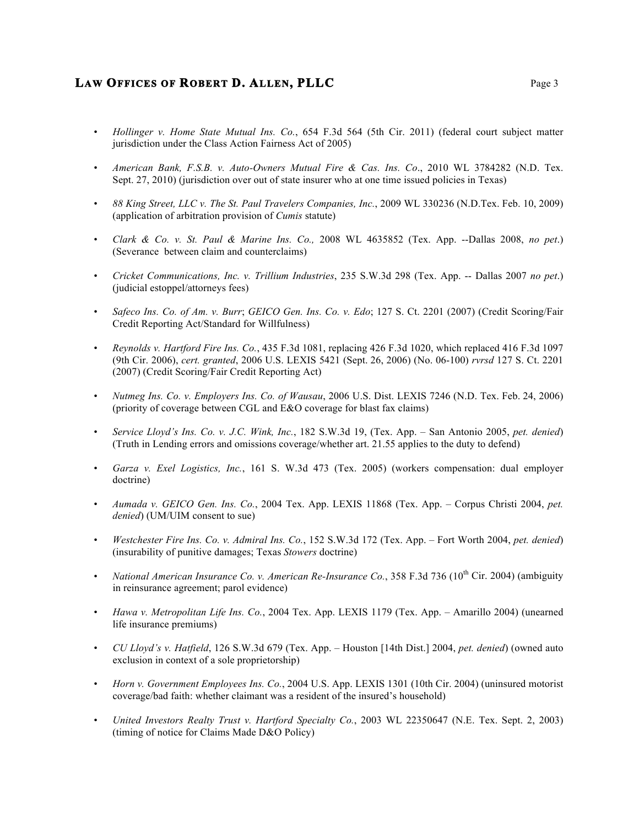- *Hollinger v. Home State Mutual Ins. Co.*, 654 F.3d 564 (5th Cir. 2011) (federal court subject matter jurisdiction under the Class Action Fairness Act of 2005)
- *American Bank, F.S.B. v. Auto-Owners Mutual Fire & Cas. Ins. Co*., 2010 WL 3784282 (N.D. Tex. Sept. 27, 2010) (jurisdiction over out of state insurer who at one time issued policies in Texas)
- *88 King Street, LLC v. The St. Paul Travelers Companies, Inc.*, 2009 WL 330236 (N.D.Tex. Feb. 10, 2009) (application of arbitration provision of *Cumis* statute)
- *Clark & Co. v. St. Paul & Marine Ins. Co.,* 2008 WL 4635852 (Tex. App. --Dallas 2008, *no pet*.) (Severance between claim and counterclaims)
- *Cricket Communications, Inc. v. Trillium Industries*, 235 S.W.3d 298 (Tex. App. -- Dallas 2007 *no pet*.) (judicial estoppel/attorneys fees)
- *Safeco Ins. Co. of Am. v. Burr*; *GEICO Gen. Ins. Co. v. Edo*; 127 S. Ct. 2201 (2007) (Credit Scoring/Fair Credit Reporting Act/Standard for Willfulness)
- *Reynolds v. Hartford Fire Ins. Co.*, 435 F.3d 1081, replacing 426 F.3d 1020, which replaced 416 F.3d 1097 (9th Cir. 2006), *cert. granted*, 2006 U.S. LEXIS 5421 (Sept. 26, 2006) (No. 06-100) *rvrsd* 127 S. Ct. 2201 (2007) (Credit Scoring/Fair Credit Reporting Act)
- *Nutmeg Ins. Co. v. Employers Ins. Co. of Wausau*, 2006 U.S. Dist. LEXIS 7246 (N.D. Tex. Feb. 24, 2006) (priority of coverage between CGL and E&O coverage for blast fax claims)
- *Service Lloyd's Ins. Co. v. J.C. Wink, Inc.*, 182 S.W.3d 19, (Tex. App. San Antonio 2005, *pet. denied*) (Truth in Lending errors and omissions coverage/whether art. 21.55 applies to the duty to defend)
- *Garza v. Exel Logistics, Inc.*, 161 S. W.3d 473 (Tex. 2005) (workers compensation: dual employer doctrine)
- *Aumada v. GEICO Gen. Ins. Co.*, 2004 Tex. App. LEXIS 11868 (Tex. App. Corpus Christi 2004, *pet. denied*) (UM/UIM consent to sue)
- *Westchester Fire Ins. Co. v. Admiral Ins. Co.*, 152 S.W.3d 172 (Tex. App. Fort Worth 2004, *pet. denied*) (insurability of punitive damages; Texas *Stowers* doctrine)
- *National American Insurance Co. v. American Re-Insurance Co.*, 358 F.3d 736 (10<sup>th</sup> Cir. 2004) (ambiguity in reinsurance agreement; parol evidence)
- *Hawa v. Metropolitan Life Ins. Co.*, 2004 Tex. App. LEXIS 1179 (Tex. App. Amarillo 2004) (unearned life insurance premiums)
- *CU Lloyd's v. Hatfield*, 126 S.W.3d 679 (Tex. App. Houston [14th Dist.] 2004, *pet. denied*) (owned auto exclusion in context of a sole proprietorship)
- *Horn v. Government Employees Ins. Co.*, 2004 U.S. App. LEXIS 1301 (10th Cir. 2004) (uninsured motorist coverage/bad faith: whether claimant was a resident of the insured's household)
- *United Investors Realty Trust v. Hartford Specialty Co.*, 2003 WL 22350647 (N.E. Tex. Sept. 2, 2003) (timing of notice for Claims Made D&O Policy)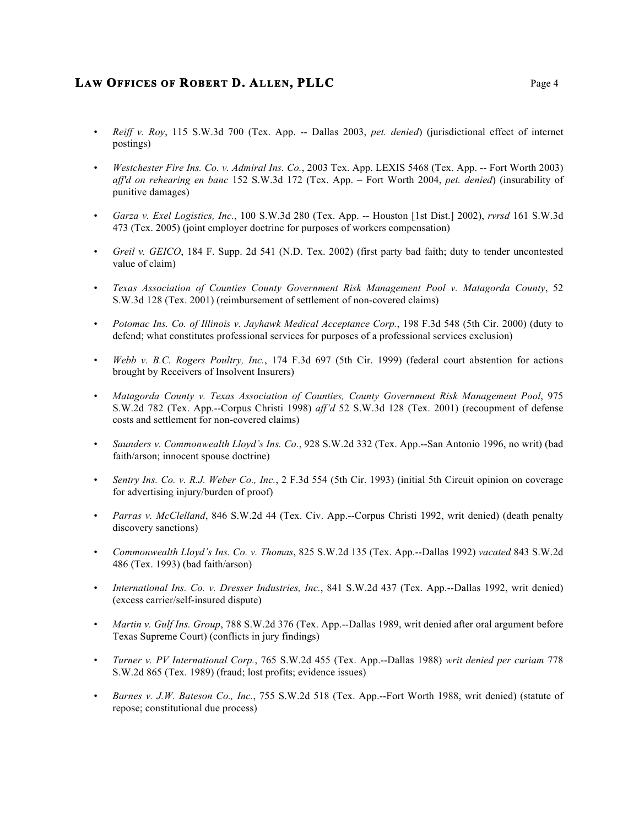- *Reiff v. Roy*, 115 S.W.3d 700 (Tex. App. -- Dallas 2003, *pet. denied*) (jurisdictional effect of internet postings)
- *Westchester Fire Ins. Co. v. Admiral Ins. Co.*, 2003 Tex. App. LEXIS 5468 (Tex. App. -- Fort Worth 2003) *aff'd on rehearing en banc* 152 S.W.3d 172 (Tex. App. – Fort Worth 2004, *pet. denied*) (insurability of punitive damages)
- *Garza v. Exel Logistics, Inc.*, 100 S.W.3d 280 (Tex. App. -- Houston [1st Dist.] 2002), *rvrsd* 161 S.W.3d 473 (Tex. 2005) (joint employer doctrine for purposes of workers compensation)
- *Greil v. GEICO*, 184 F. Supp. 2d 541 (N.D. Tex. 2002) (first party bad faith; duty to tender uncontested value of claim)
- *Texas Association of Counties County Government Risk Management Pool v. Matagorda County*, 52 S.W.3d 128 (Tex. 2001) (reimbursement of settlement of non-covered claims)
- *Potomac Ins. Co. of Illinois v. Jayhawk Medical Acceptance Corp.*, 198 F.3d 548 (5th Cir. 2000) (duty to defend; what constitutes professional services for purposes of a professional services exclusion)
- *Webb v. B.C. Rogers Poultry, Inc.*, 174 F.3d 697 (5th Cir. 1999) (federal court abstention for actions brought by Receivers of Insolvent Insurers)
- *Matagorda County v. Texas Association of Counties, County Government Risk Management Pool*, 975 S.W.2d 782 (Tex. App.--Corpus Christi 1998) *aff'd* 52 S.W.3d 128 (Tex. 2001) (recoupment of defense costs and settlement for non-covered claims)
- *Saunders v. Commonwealth Lloyd's Ins. Co.*, 928 S.W.2d 332 (Tex. App.--San Antonio 1996, no writ) (bad faith/arson; innocent spouse doctrine)
- *Sentry Ins. Co. v. R.J. Weber Co., Inc.*, 2 F.3d 554 (5th Cir. 1993) (initial 5th Circuit opinion on coverage for advertising injury/burden of proof)
- *Parras v. McClelland*, 846 S.W.2d 44 (Tex. Civ. App.--Corpus Christi 1992, writ denied) (death penalty discovery sanctions)
- *Commonwealth Lloyd's Ins. Co. v. Thomas*, 825 S.W.2d 135 (Tex. App.--Dallas 1992) *vacated* 843 S.W.2d 486 (Tex. 1993) (bad faith/arson)
- *International Ins. Co. v. Dresser Industries, Inc.*, 841 S.W.2d 437 (Tex. App.--Dallas 1992, writ denied) (excess carrier/self-insured dispute)
- *Martin v. Gulf Ins. Group*, 788 S.W.2d 376 (Tex. App.--Dallas 1989, writ denied after oral argument before Texas Supreme Court) (conflicts in jury findings)
- *Turner v. PV International Corp.*, 765 S.W.2d 455 (Tex. App.--Dallas 1988) *writ denied per curiam* 778 S.W.2d 865 (Tex. 1989) (fraud; lost profits; evidence issues)
- *Barnes v. J.W. Bateson Co., Inc.*, 755 S.W.2d 518 (Tex. App.--Fort Worth 1988, writ denied) (statute of repose; constitutional due process)